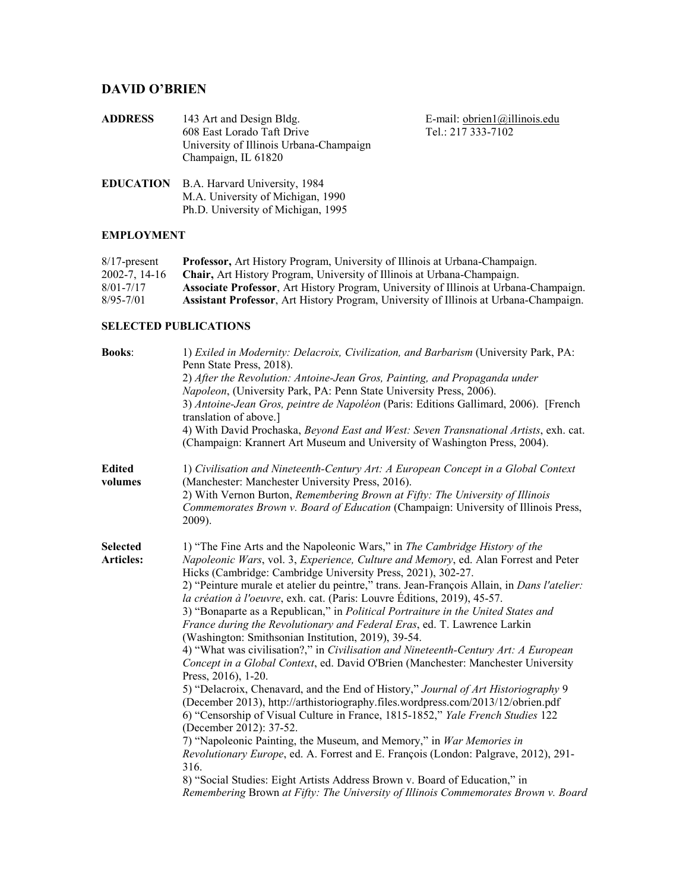# **DAVID O'BRIEN**

| <b>ADDRESS</b> | 143 Art and Design Bldg.<br>608 East Lorado Taft Drive<br>University of Illinois Urbana-Champaign<br>Champaign, IL 61820  | E-mail: $obrien1@illinois.edu$<br>Tel.: 217 333-7102 |
|----------------|---------------------------------------------------------------------------------------------------------------------------|------------------------------------------------------|
|                | <b>EDUCATION</b> B.A. Harvard University, 1984<br>M.A. University of Michigan, 1990<br>Ph.D. University of Michigan, 1995 |                                                      |

## **EMPLOYMENT**

| $8/17$ -present    | <b>Professor</b> , Art History Program, University of Illinois at Urbana-Champaign.          |
|--------------------|----------------------------------------------------------------------------------------------|
| $2002 - 7.14 - 16$ | <b>Chair, Art History Program, University of Illinois at Urbana-Champaign.</b>               |
| $8/01 - 7/17$      | <b>Associate Professor, Art History Program, University of Illinois at Urbana-Champaign.</b> |
| $8/95 - 7/01$      | <b>Assistant Professor, Art History Program, University of Illinois at Urbana-Champaign.</b> |

## **SELECTED PUBLICATIONS**

| <b>Books:</b>                | 1) Exiled in Modernity: Delacroix, Civilization, and Barbarism (University Park, PA:<br>Penn State Press, 2018).<br>2) After the Revolution: Antoine-Jean Gros, Painting, and Propaganda under<br>Napoleon, (University Park, PA: Penn State University Press, 2006).<br>3) Antoine-Jean Gros, peintre de Napoléon (Paris: Editions Gallimard, 2006). [French<br>translation of above.]<br>4) With David Prochaska, Beyond East and West: Seven Transnational Artists, exh. cat.<br>(Champaign: Krannert Art Museum and University of Washington Press, 2004).                                                                                                                                                                                                                                                                                                                                                                                                                                                                                                                                                                                                                                                                                                                                                                                                                                                                                                                     |
|------------------------------|------------------------------------------------------------------------------------------------------------------------------------------------------------------------------------------------------------------------------------------------------------------------------------------------------------------------------------------------------------------------------------------------------------------------------------------------------------------------------------------------------------------------------------------------------------------------------------------------------------------------------------------------------------------------------------------------------------------------------------------------------------------------------------------------------------------------------------------------------------------------------------------------------------------------------------------------------------------------------------------------------------------------------------------------------------------------------------------------------------------------------------------------------------------------------------------------------------------------------------------------------------------------------------------------------------------------------------------------------------------------------------------------------------------------------------------------------------------------------------|
| <b>Edited</b><br>volumes     | 1) Civilisation and Nineteenth-Century Art: A European Concept in a Global Context<br>(Manchester: Manchester University Press, 2016).<br>2) With Vernon Burton, Remembering Brown at Fifty: The University of Illinois<br>Commemorates Brown v. Board of Education (Champaign: University of Illinois Press,<br>2009).                                                                                                                                                                                                                                                                                                                                                                                                                                                                                                                                                                                                                                                                                                                                                                                                                                                                                                                                                                                                                                                                                                                                                            |
| <b>Selected</b><br>Articles: | 1) "The Fine Arts and the Napoleonic Wars," in The Cambridge History of the<br>Napoleonic Wars, vol. 3, Experience, Culture and Memory, ed. Alan Forrest and Peter<br>Hicks (Cambridge: Cambridge University Press, 2021), 302-27.<br>2) "Peinture murale et atelier du peintre," trans. Jean-François Allain, in Dans l'atelier:<br>la création à l'oeuvre, exh. cat. (Paris: Louvre Éditions, 2019), 45-57.<br>3) "Bonaparte as a Republican," in Political Portraiture in the United States and<br>France during the Revolutionary and Federal Eras, ed. T. Lawrence Larkin<br>(Washington: Smithsonian Institution, 2019), 39-54.<br>4) "What was civilisation?," in Civilisation and Nineteenth-Century Art: A European<br>Concept in a Global Context, ed. David O'Brien (Manchester: Manchester University<br>Press, 2016), 1-20.<br>5) "Delacroix, Chenavard, and the End of History," Journal of Art Historiography 9<br>(December 2013), http://arthistoriography.files.wordpress.com/2013/12/obrien.pdf<br>6) "Censorship of Visual Culture in France, 1815-1852," Yale French Studies 122<br>(December 2012): 37-52.<br>7) "Napoleonic Painting, the Museum, and Memory," in <i>War Memories in</i><br>Revolutionary Europe, ed. A. Forrest and E. François (London: Palgrave, 2012), 291-<br>316.<br>8) "Social Studies: Eight Artists Address Brown v. Board of Education," in<br>Remembering Brown at Fifty: The University of Illinois Commemorates Brown v. Board |